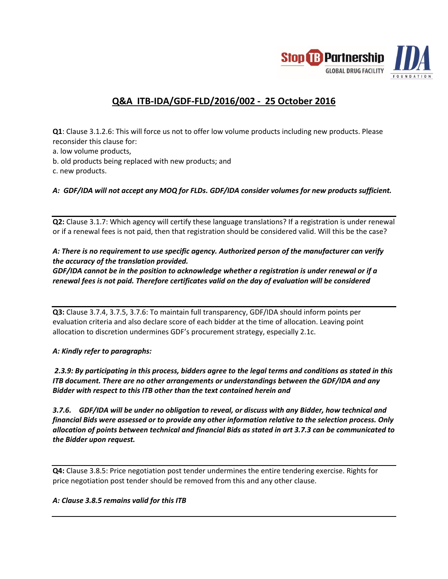

## **Q&A ITB-IDA/GDF-FLD/2016/002 - 25 October 2016**

**Q1**: Clause 3.1.2.6: This will force us not to offer low volume products including new products. Please reconsider this clause for:

- a. low volume products,
- b. old products being replaced with new products; and
- c. new products.

*A: GDF/IDA will not accept any MOQ for FLDs. GDF/IDA consider volumes for new products sufficient.* 

**Q2:** Clause 3.1.7: Which agency will certify these language translations? If a registration is under renewal or if a renewal fees is not paid, then that registration should be considered valid. Will this be the case?

## *A: There is no requirement to use specific agency. Authorized person of the manufacturer can verify the accuracy of the translation provided.*

*GDF/IDA cannot be in the position to acknowledge whether a registration is under renewal or if a renewal fees is not paid. Therefore certificates valid on the day of evaluation will be considered*

**Q3:** Clause 3.7.4, 3.7.5, 3.7.6: To maintain full transparency, GDF/IDA should inform points per evaluation criteria and also declare score of each bidder at the time of allocation. Leaving point allocation to discretion undermines GDF's procurement strategy, especially 2.1c.

## *A: Kindly refer to paragraphs:*

*2.3.9: By participating in this process, bidders agree to the legal terms and conditions as stated in this ITB document. There are no other arrangements or understandings between the GDF/IDA and any Bidder with respect to this ITB other than the text contained herein and*

*3.7.6. GDF/IDA will be under no obligation to reveal, or discuss with any Bidder, how technical and financial Bids were assessed or to provide any other information relative to the selection process. Only allocation of points between technical and financial Bids as stated in art 3.7.3 can be communicated to the Bidder upon request.*

**Q4:** Clause 3.8.5: Price negotiation post tender undermines the entire tendering exercise. Rights for price negotiation post tender should be removed from this and any other clause.

## *A: Clause 3.8.5 remains valid for this ITB*